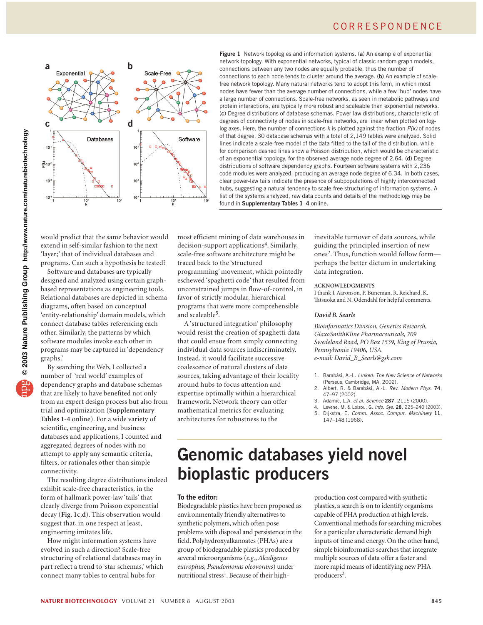

**Figure 1** Network topologies and information systems. (**a**) An example of exponential network topology. With exponential networks, typical of classic random graph models, connections between any two nodes are equally probable, thus the number of connections to each node tends to cluster around the average. (**b**) An example of scalefree network topology. Many natural networks tend to adopt this form, in which most nodes have fewer than the average number of connections, while a few 'hub' nodes have a large number of connections. Scale-free networks, as seen in metabolic pathways and protein interactions, are typically more robust and scaleable than exponential networks. (**c**) Degree distributions of database schemas. Power law distributions, characteristic of degrees of connectivity of nodes in scale-free networks, are linear when plotted on loglog axes. Here, the number of connections *k* is plotted against the fraction *P(k)* of nodes of that degree. 30 database schemas with a total of 2,149 tables were analyzed. Solid lines indicate a scale-free model of the data fitted to the tail of the distribution, while for comparison dashed lines show a Poisson distribution, which would be characteristic of an exponential topology, for the observed average node degree of 2.64. (**d**) Degree distributions of software dependency graphs. Fourteen software systems with 2,236 code modules were analyzed, producing an average node degree of 6.34. In both cases, clear power-law tails indicate the presence of subpopulations of highly interconnected hubs, suggesting a natural tendency to scale-free structuring of information systems. A list of the systems analyzed, raw data counts and details of the methodology may be found in **Supplementary Tables 1**–**4** online.

would predict that the same behavior would extend in self-similar fashion to the next 'layer;' that of individual databases and programs. Can such a hypothesis be tested?

Software and databases are typically designed and analyzed using certain graphbased representations as engineering tools. Relational databases are depicted in schema diagrams, often based on conceptual 'entity-relationship' domain models, which connect database tables referencing each other. Similarly, the patterns by which software modules invoke each other in programs may be captured in 'dependency graphs.'

By searching the Web, I collected a number of 'real world' examples of dependency graphs and database schemas that are likely to have benefited not only from an expert design process but also from trial and optimization (**Supplementary Tables 1-4** online). For a wide variety of scientific, engineering, and business databases and applications, I counted and aggregated degrees of nodes with no attempt to apply any semantic criteria, filters, or rationales other than simple connectivity.

The resulting degree distributions indeed exhibit scale-free characteristics, in the form of hallmark power-law 'tails' that clearly diverge from Poisson exponential decay (**Fig. 1c**,**d**). This observation would suggest that, in one respect at least, engineering imitates life.

How might information systems have evolved in such a direction? Scale-free structuring of relational databases may in part reflect a trend to 'star schemas,' which connect many tables to central hubs for

most efficient mining of data warehouses in decision-support applications<sup>4</sup>. Similarly, scale-free software architecture might be traced back to the 'structured programming' movement, which pointedly eschewed 'spaghetti code' that resulted from unconstrained jumps in flow-of-control, in favor of strictly modular, hierarchical programs that were more comprehensible and scaleable<sup>5</sup>.

A 'structured integration' philosophy would resist the creation of spaghetti data that could ensue from simply connecting individual data sources indiscriminately. Instead, it would facilitate successive coalescence of natural clusters of data sources, taking advantage of their locality around hubs to focus attention and expertise optimally within a hierarchical framework. Network theory can offer mathematical metrics for evaluating architectures for robustness to the

inevitable turnover of data sources, while guiding the principled insertion of new ones<sup>2</sup>. Thus, function would follow form perhaps the better dictum in undertaking data integration.

## **ACKNOWLEDGMENTS**

I thank J. Aaronson, P. Buneman, R. Reichard, K. Tatsuoka and N. Odendahl for helpful comments.

#### *David B. Searls*

*Bioinformatics Division, Genetics Research, GlaxoSmithKline Pharmaceuticals, 709 Swedeland Road, PO Box 1539, King of Prussia, Pennsylvania 19406, USA. e-mail: David\_B\_Searls@gsk.com* 

- 1. Barabási, A.-L. *Linked: The New Science of Networks* (Perseus, Cambridge, MA, 2002).
- 2. Albert, R. & Barabási, A.-L. *Rev. Modern Phys*. **74**, 47–97 (2002).
- 3. Adamic, L.A. *et al. Science* **287**, 2115 (2000).
- 4. Levene, M. & Loizou, G. *Info. Sys*. **28**, 225–240 (2003).
- 5. Dijkstra, E. *Comm*. *Assoc. Comput. Machinery* **11**, 147–148 (1968).

# **Genomic databases yield novel bioplastic producers**

#### **To the editor:**

Biodegradable plastics have been proposed as environmentally friendly alternatives to synthetic polymers, which often pose problems with disposal and persistence in the field. Polyhydroxyalkanoates (PHAs) are a group of biodegradable plastics produced by several microorganisms (*e.g.*, *Alcaligenes eutrophus, Pseudomonas oleovorans*) under nutritional stress<sup>1</sup>. Because of their high-

production cost compared with synthetic plastics, a search is on to identify organisms capable of PHA production at high levels. Conventional methods for searching microbes for a particular characteristic demand high inputs of time and energy. On the other hand, simple bioinformatics searches that integrate multiple sources of data offer a faster and more rapid means of identifying new PHA producers2.